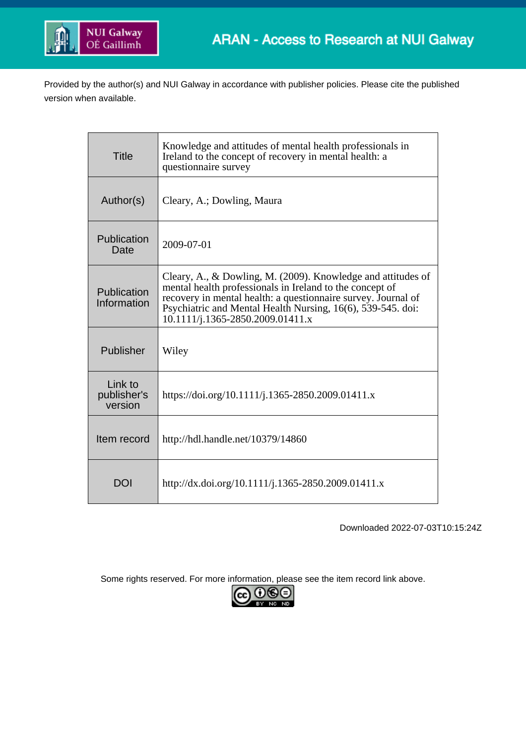

Provided by the author(s) and NUI Galway in accordance with publisher policies. Please cite the published version when available.

| <b>Title</b>                      | Knowledge and attitudes of mental health professionals in<br>Ireland to the concept of recovery in mental health: a<br>questionnaire survey                                                                                                                                                  |
|-----------------------------------|----------------------------------------------------------------------------------------------------------------------------------------------------------------------------------------------------------------------------------------------------------------------------------------------|
| Author(s)                         | Cleary, A.; Dowling, Maura                                                                                                                                                                                                                                                                   |
| Publication<br>Date               | 2009-07-01                                                                                                                                                                                                                                                                                   |
| Publication<br>Information        | Cleary, A., & Dowling, M. (2009). Knowledge and attitudes of<br>mental health professionals in Ireland to the concept of<br>recovery in mental health: a questionnaire survey. Journal of<br>Psychiatric and Mental Health Nursing, 16(6), 539-545. doi:<br>10.1111/j.1365-2850.2009.01411.x |
| Publisher                         | Wiley                                                                                                                                                                                                                                                                                        |
| Link to<br>publisher's<br>version | https://doi.org/10.1111/j.1365-2850.2009.01411.x                                                                                                                                                                                                                                             |
| Item record                       | http://hdl.handle.net/10379/14860                                                                                                                                                                                                                                                            |
| DOI                               | http://dx.doi.org/10.1111/j.1365-2850.2009.01411.x                                                                                                                                                                                                                                           |

Downloaded 2022-07-03T10:15:24Z

Some rights reserved. For more information, please see the item record link above.

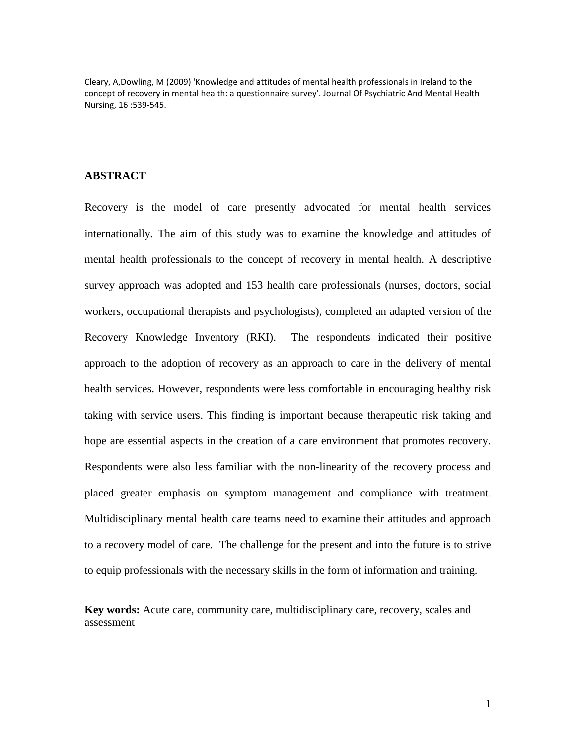Cleary, A,Dowling, M (2009) 'Knowledge and attitudes of mental health professionals in Ireland to the concept of recovery in mental health: a questionnaire survey'. Journal Of Psychiatric And Mental Health Nursing, 16 :539-545.

## **ABSTRACT**

Recovery is the model of care presently advocated for mental health services internationally. The aim of this study was to examine the knowledge and attitudes of mental health professionals to the concept of recovery in mental health. A descriptive survey approach was adopted and 153 health care professionals (nurses, doctors, social workers, occupational therapists and psychologists), completed an adapted version of the Recovery Knowledge Inventory (RKI). The respondents indicated their positive approach to the adoption of recovery as an approach to care in the delivery of mental health services. However, respondents were less comfortable in encouraging healthy risk taking with service users. This finding is important because therapeutic risk taking and hope are essential aspects in the creation of a care environment that promotes recovery. Respondents were also less familiar with the non-linearity of the recovery process and placed greater emphasis on symptom management and compliance with treatment. Multidisciplinary mental health care teams need to examine their attitudes and approach to a recovery model of care. The challenge for the present and into the future is to strive to equip professionals with the necessary skills in the form of information and training.

**Key words:** Acute care, community care, multidisciplinary care, recovery, scales and assessment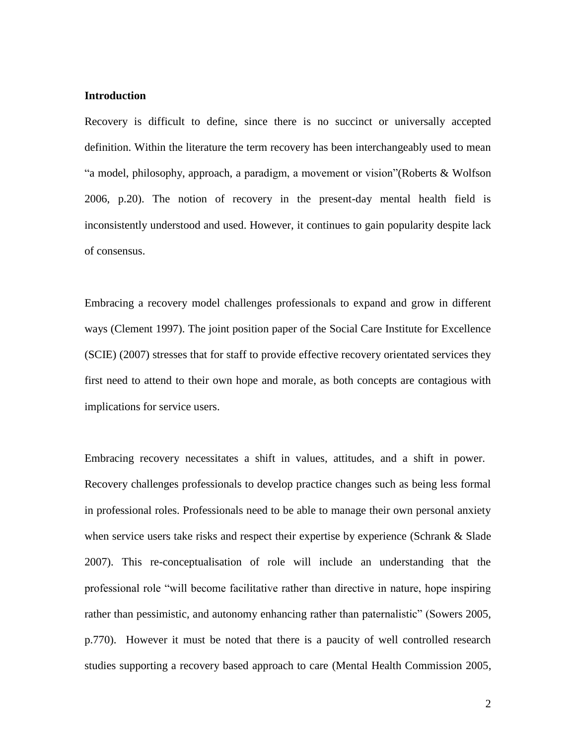### **Introduction**

Recovery is difficult to define, since there is no succinct or universally accepted definition. Within the literature the term recovery has been interchangeably used to mean "a model, philosophy, approach, a paradigm, a movement or vision"(Roberts & Wolfson 2006, p.20). The notion of recovery in the present-day mental health field is inconsistently understood and used. However, it continues to gain popularity despite lack of consensus.

Embracing a recovery model challenges professionals to expand and grow in different ways (Clement 1997). The joint position paper of the Social Care Institute for Excellence (SCIE) (2007) stresses that for staff to provide effective recovery orientated services they first need to attend to their own hope and morale, as both concepts are contagious with implications for service users.

Embracing recovery necessitates a shift in values, attitudes, and a shift in power. Recovery challenges professionals to develop practice changes such as being less formal in professional roles. Professionals need to be able to manage their own personal anxiety when service users take risks and respect their expertise by experience (Schrank & Slade 2007). This re-conceptualisation of role will include an understanding that the professional role "will become facilitative rather than directive in nature, hope inspiring rather than pessimistic, and autonomy enhancing rather than paternalistic" (Sowers 2005, p.770). However it must be noted that there is a paucity of well controlled research studies supporting a recovery based approach to care (Mental Health Commission 2005,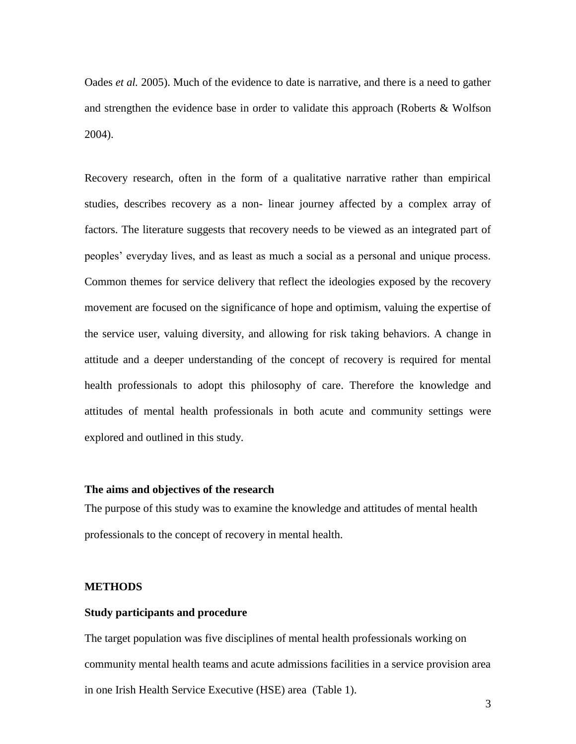Oades *et al.* 2005). Much of the evidence to date is narrative, and there is a need to gather and strengthen the evidence base in order to validate this approach (Roberts & Wolfson 2004).

Recovery research, often in the form of a qualitative narrative rather than empirical studies, describes recovery as a non- linear journey affected by a complex array of factors. The literature suggests that recovery needs to be viewed as an integrated part of peoples' everyday lives, and as least as much a social as a personal and unique process. Common themes for service delivery that reflect the ideologies exposed by the recovery movement are focused on the significance of hope and optimism, valuing the expertise of the service user, valuing diversity, and allowing for risk taking behaviors. A change in attitude and a deeper understanding of the concept of recovery is required for mental health professionals to adopt this philosophy of care. Therefore the knowledge and attitudes of mental health professionals in both acute and community settings were explored and outlined in this study.

### **The aims and objectives of the research**

The purpose of this study was to examine the knowledge and attitudes of mental health professionals to the concept of recovery in mental health.

### **METHODS**

### **Study participants and procedure**

The target population was five disciplines of mental health professionals working on community mental health teams and acute admissions facilities in a service provision area in one Irish Health Service Executive (HSE) area (Table 1).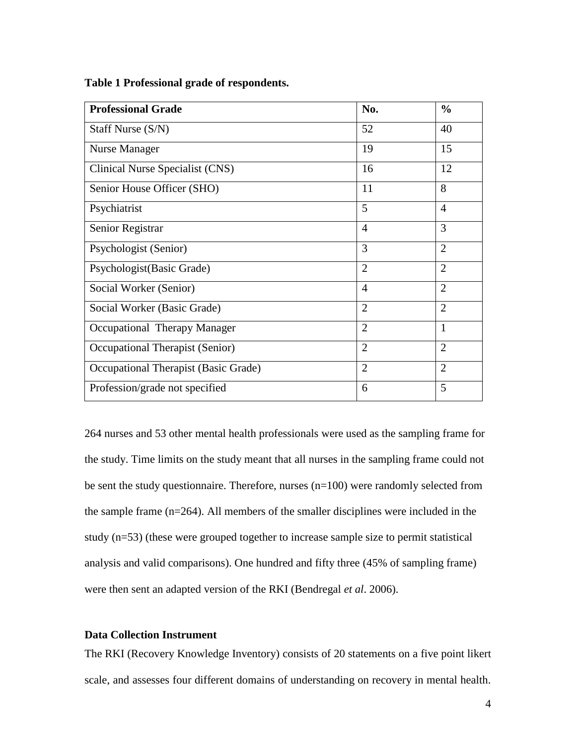| <b>Professional Grade</b>            | No.            | $\frac{0}{0}$  |
|--------------------------------------|----------------|----------------|
| Staff Nurse (S/N)                    | 52             | 40             |
| Nurse Manager                        | 19             | 15             |
| Clinical Nurse Specialist (CNS)      | 16             | 12             |
| Senior House Officer (SHO)           | 11             | 8              |
| Psychiatrist                         | 5              | $\overline{4}$ |
| Senior Registrar                     | $\overline{4}$ | 3              |
| Psychologist (Senior)                | 3              | $\overline{2}$ |
| Psychologist (Basic Grade)           | $\overline{2}$ | $\overline{2}$ |
| Social Worker (Senior)               | $\overline{4}$ | $\overline{2}$ |
| Social Worker (Basic Grade)          | $\overline{2}$ | $\overline{2}$ |
| Occupational Therapy Manager         | $\overline{2}$ | $\mathbf{1}$   |
| Occupational Therapist (Senior)      | $\overline{2}$ | $\overline{2}$ |
| Occupational Therapist (Basic Grade) | $\overline{2}$ | $\overline{2}$ |
| Profession/grade not specified       | 6              | 5              |

**Table 1 Professional grade of respondents.**

264 nurses and 53 other mental health professionals were used as the sampling frame for the study. Time limits on the study meant that all nurses in the sampling frame could not be sent the study questionnaire. Therefore, nurses (n=100) were randomly selected from the sample frame (n=264). All members of the smaller disciplines were included in the study (n=53) (these were grouped together to increase sample size to permit statistical analysis and valid comparisons). One hundred and fifty three (45% of sampling frame) were then sent an adapted version of the RKI (Bendregal *et al*. 2006).

### **Data Collection Instrument**

The RKI (Recovery Knowledge Inventory) consists of 20 statements on a five point likert scale, and assesses four different domains of understanding on recovery in mental health.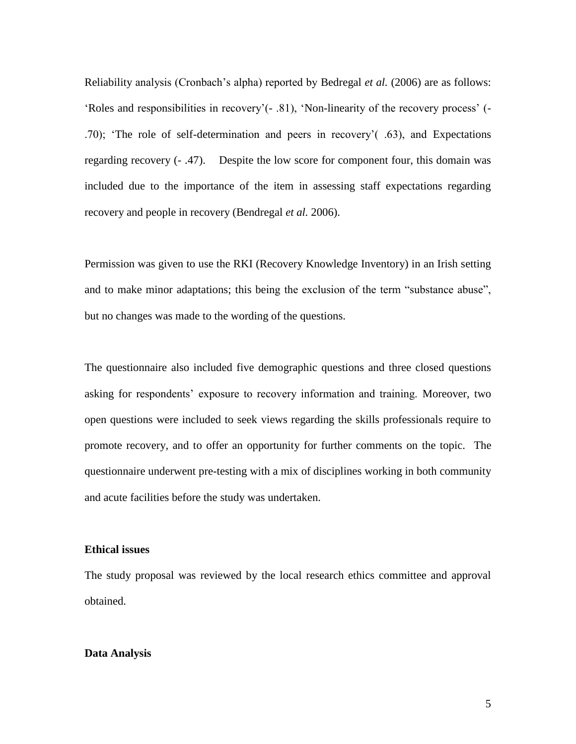Reliability analysis (Cronbach's alpha) reported by Bedregal *et al.* (2006) are as follows: 'Roles and responsibilities in recovery'(- .81), 'Non-linearity of the recovery process' (- .70); 'The role of self-determination and peers in recovery'( .63), and Expectations regarding recovery (- .47). Despite the low score for component four, this domain was included due to the importance of the item in assessing staff expectations regarding recovery and people in recovery (Bendregal *et al.* 2006).

Permission was given to use the RKI (Recovery Knowledge Inventory) in an Irish setting and to make minor adaptations; this being the exclusion of the term "substance abuse", but no changes was made to the wording of the questions.

The questionnaire also included five demographic questions and three closed questions asking for respondents' exposure to recovery information and training. Moreover, two open questions were included to seek views regarding the skills professionals require to promote recovery, and to offer an opportunity for further comments on the topic. The questionnaire underwent pre-testing with a mix of disciplines working in both community and acute facilities before the study was undertaken.

### **Ethical issues**

The study proposal was reviewed by the local research ethics committee and approval obtained.

### **Data Analysis**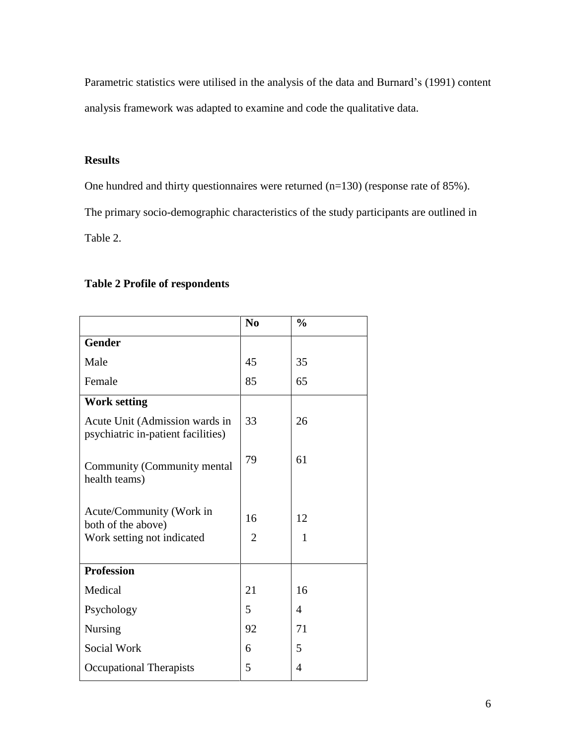Parametric statistics were utilised in the analysis of the data and Burnard's (1991) content analysis framework was adapted to examine and code the qualitative data.

# **Results**

One hundred and thirty questionnaires were returned (n=130) (response rate of 85%).

The primary socio-demographic characteristics of the study participants are outlined in

Table 2.

# **Table 2 Profile of respondents**

|                                                                              | N <sub>0</sub>       | $\frac{0}{0}$  |
|------------------------------------------------------------------------------|----------------------|----------------|
| <b>Gender</b>                                                                |                      |                |
| Male                                                                         | 45                   | 35             |
| Female                                                                       | 85                   | 65             |
| <b>Work setting</b>                                                          |                      |                |
| Acute Unit (Admission wards in<br>psychiatric in-patient facilities)         | 33                   | 26             |
| Community (Community mental<br>health teams)                                 | 79                   | 61             |
| Acute/Community (Work in<br>both of the above)<br>Work setting not indicated | 16<br>$\overline{2}$ | 12<br>1        |
| <b>Profession</b>                                                            |                      |                |
| Medical                                                                      | 21                   | 16             |
| Psychology                                                                   | 5                    | $\overline{4}$ |
| <b>Nursing</b>                                                               | 92                   | 71             |
| Social Work                                                                  | 6                    | 5              |
| <b>Occupational Therapists</b>                                               | 5                    | 4              |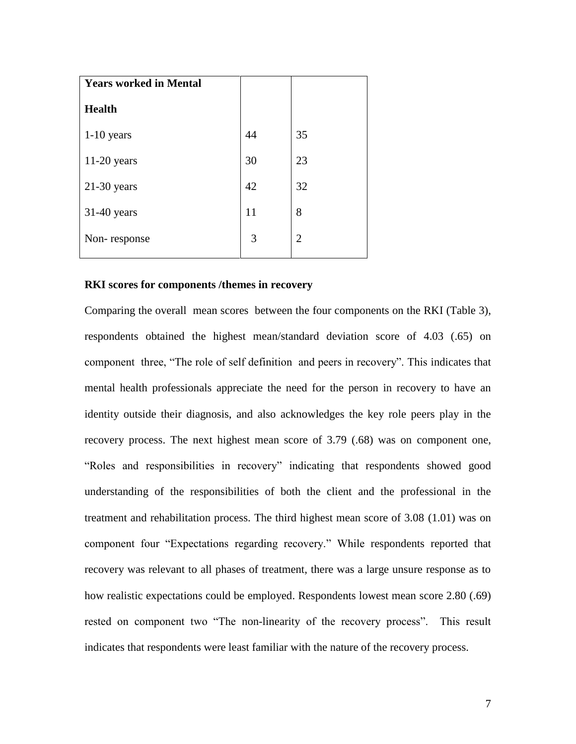| <b>Years worked in Mental</b> |    |                |
|-------------------------------|----|----------------|
| <b>Health</b>                 |    |                |
| $1-10$ years                  | 44 | 35             |
| $11-20$ years                 | 30 | 23             |
| $21-30$ years                 | 42 | 32             |
| $31-40$ years                 | 11 | 8              |
| Non-response                  | 3  | $\overline{2}$ |

## **RKI scores for components /themes in recovery**

Comparing the overall mean scores between the four components on the RKI (Table 3), respondents obtained the highest mean/standard deviation score of 4.03 (.65) on component three, "The role of self definition and peers in recovery". This indicates that mental health professionals appreciate the need for the person in recovery to have an identity outside their diagnosis, and also acknowledges the key role peers play in the recovery process. The next highest mean score of 3.79 (.68) was on component one, "Roles and responsibilities in recovery" indicating that respondents showed good understanding of the responsibilities of both the client and the professional in the treatment and rehabilitation process. The third highest mean score of 3.08 (1.01) was on component four "Expectations regarding recovery." While respondents reported that recovery was relevant to all phases of treatment, there was a large unsure response as to how realistic expectations could be employed. Respondents lowest mean score 2.80 (.69) rested on component two "The non-linearity of the recovery process". This result indicates that respondents were least familiar with the nature of the recovery process.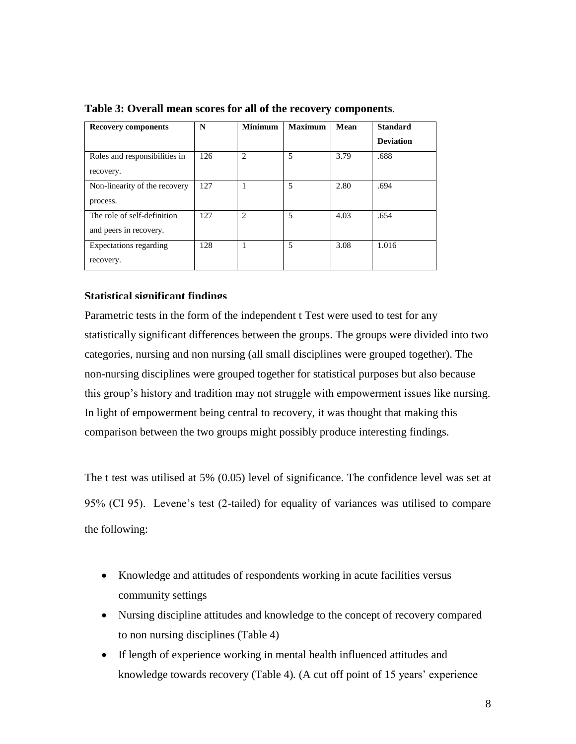| <b>Recovery components</b>    | N   | <b>Minimum</b>              | <b>Maximum</b> | Mean | <b>Standard</b>  |
|-------------------------------|-----|-----------------------------|----------------|------|------------------|
|                               |     |                             |                |      | <b>Deviation</b> |
| Roles and responsibilities in | 126 | 2                           | 5              | 3.79 | .688             |
| recovery.                     |     |                             |                |      |                  |
| Non-linearity of the recovery | 127 |                             | 5              | 2.80 | .694             |
| process.                      |     |                             |                |      |                  |
| The role of self-definition   | 127 | $\mathcal{D}_{\mathcal{L}}$ | 5              | 4.03 | .654             |
| and peers in recovery.        |     |                             |                |      |                  |
| Expectations regarding        | 128 |                             | 5              | 3.08 | 1.016            |
| recovery.                     |     |                             |                |      |                  |

**Table 3: Overall mean scores for all of the recovery components**.

### **Statistical significant findings**

Parametric tests in the form of the independent t Test were used to test for any statistically significant differences between the groups. The groups were divided into two categories, nursing and non nursing (all small disciplines were grouped together). The non-nursing disciplines were grouped together for statistical purposes but also because this group's history and tradition may not struggle with empowerment issues like nursing. In light of empowerment being central to recovery, it was thought that making this comparison between the two groups might possibly produce interesting findings.

The t test was utilised at 5% (0.05) level of significance. The confidence level was set at 95% (CI 95). Levene's test (2-tailed) for equality of variances was utilised to compare the following:

- Knowledge and attitudes of respondents working in acute facilities versus community settings
- Nursing discipline attitudes and knowledge to the concept of recovery compared to non nursing disciplines (Table 4)
- If length of experience working in mental health influenced attitudes and knowledge towards recovery (Table 4)*.* (A cut off point of 15 years' experience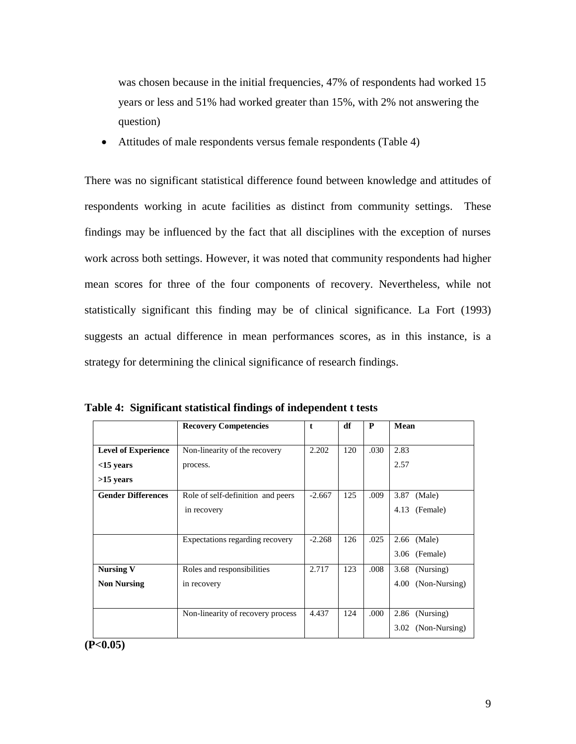was chosen because in the initial frequencies, 47% of respondents had worked 15 years or less and 51% had worked greater than 15%, with 2% not answering the question)

Attitudes of male respondents versus female respondents (Table 4)

There was no significant statistical difference found between knowledge and attitudes of respondents working in acute facilities as distinct from community settings. These findings may be influenced by the fact that all disciplines with the exception of nurses work across both settings. However, it was noted that community respondents had higher mean scores for three of the four components of recovery. Nevertheless, while not statistically significant this finding may be of clinical significance. La Fort (1993) suggests an actual difference in mean performances scores, as in this instance, is a strategy for determining the clinical significance of research findings.

|                            | <b>Recovery Competencies</b>      | t        | df  |      | Mean                  |
|----------------------------|-----------------------------------|----------|-----|------|-----------------------|
|                            |                                   |          |     |      |                       |
| <b>Level of Experience</b> | Non-linearity of the recovery     | 2.202    | 120 | .030 | 2.83                  |
| $<$ 15 years               | process.                          |          |     |      | 2.57                  |
| $>15$ years                |                                   |          |     |      |                       |
| <b>Gender Differences</b>  | Role of self-definition and peers | $-2.667$ | 125 | .009 | 3.87<br>(Male)        |
|                            | in recovery                       |          |     |      | 4.13<br>(Female)      |
|                            |                                   |          |     |      |                       |
|                            | Expectations regarding recovery   | $-2.268$ | 126 | .025 | 2.66 (Male)           |
|                            |                                   |          |     |      | (Female)<br>3.06      |
| <b>Nursing V</b>           | Roles and responsibilities        | 2.717    | 123 | .008 | 3.68<br>(Nursing)     |
| <b>Non Nursing</b>         | in recovery                       |          |     |      | (Non-Nursing)<br>4.00 |
|                            |                                   |          |     |      |                       |
|                            | Non-linearity of recovery process | 4.437    | 124 | .000 | (Nursing)<br>2.86     |
|                            |                                   |          |     |      | (Non-Nursing)<br>3.02 |

**Table 4: Significant statistical findings of independent t tests**

**(P<0.05)**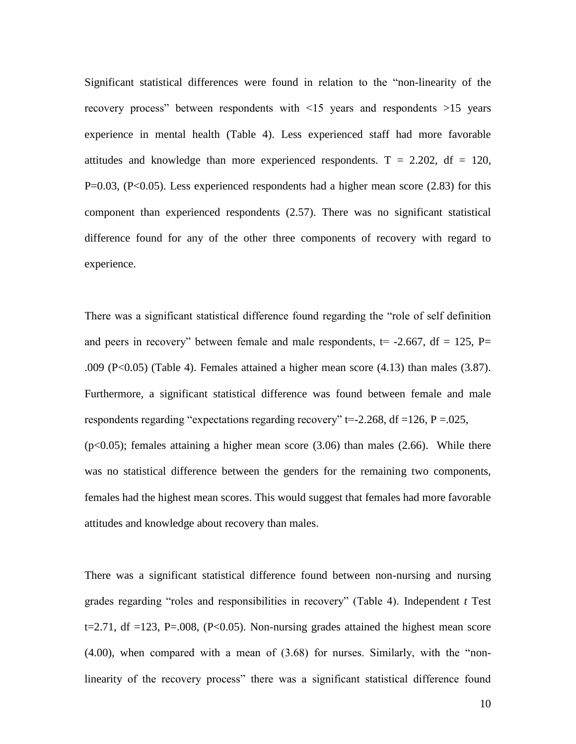Significant statistical differences were found in relation to the "non-linearity of the recovery process" between respondents with <15 years and respondents >15 years experience in mental health (Table 4). Less experienced staff had more favorable attitudes and knowledge than more experienced respondents.  $T = 2.202$ ,  $df = 120$ , P=0.03, (P<0.05). Less experienced respondents had a higher mean score (2.83) for this component than experienced respondents (2.57). There was no significant statistical difference found for any of the other three components of recovery with regard to experience.

There was a significant statistical difference found regarding the "role of self definition and peers in recovery" between female and male respondents,  $t = -2.667$ ,  $df = 125$ , P= .009 (P<0.05) (Table 4). Females attained a higher mean score (4.13) than males (3.87). Furthermore, a significant statistical difference was found between female and male respondents regarding "expectations regarding recovery"  $t=-2.268$ , df  $=126$ , P  $=0.025$ ,  $(p<0.05)$ ; females attaining a higher mean score  $(3.06)$  than males  $(2.66)$ . While there was no statistical difference between the genders for the remaining two components, females had the highest mean scores. This would suggest that females had more favorable attitudes and knowledge about recovery than males.

There was a significant statistical difference found between non-nursing and nursing grades regarding "roles and responsibilities in recovery" (Table 4). Independent *t* Test  $t=2.71$ , df  $=123$ , P $=0.008$ , (P $< 0.05$ ). Non-nursing grades attained the highest mean score (4.00), when compared with a mean of (3.68) for nurses. Similarly, with the "nonlinearity of the recovery process" there was a significant statistical difference found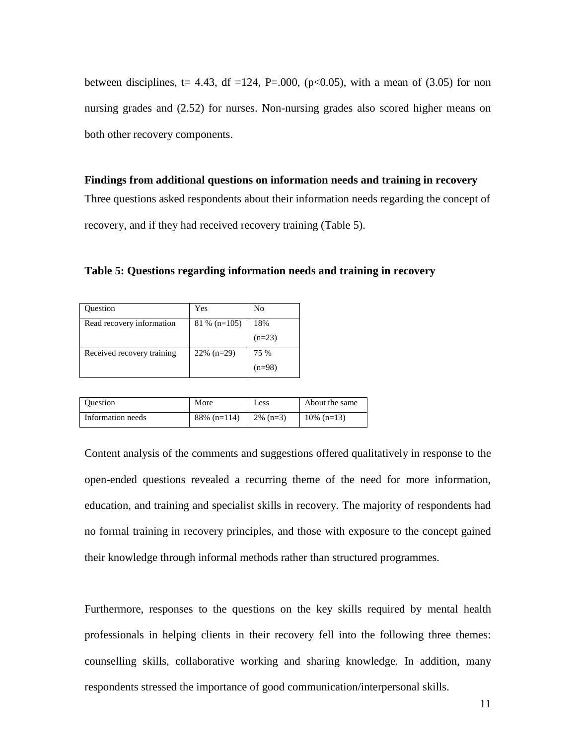between disciplines, t= 4.43, df =124, P=.000, ( $p<0.05$ ), with a mean of (3.05) for non nursing grades and (2.52) for nurses. Non-nursing grades also scored higher means on both other recovery components.

**Findings from additional questions on information needs and training in recovery** Three questions asked respondents about their information needs regarding the concept of recovery, and if they had received recovery training (Table 5).

**Table 5: Questions regarding information needs and training in recovery**

| Question                   | Yes            | No       |
|----------------------------|----------------|----------|
| Read recovery information  | $81\%$ (n=105) | 18%      |
|                            |                | $(n=23)$ |
| Received recovery training | $22\%$ (n=29)  | 75 %     |
|                            |                | $(n=98)$ |

| <b>Ouestion</b>   | More           | Less              | About the same |
|-------------------|----------------|-------------------|----------------|
| Information needs | $88\%$ (n=114) | $\frac{2\%}{n=3}$ | $10\%$ (n=13)  |

Content analysis of the comments and suggestions offered qualitatively in response to the open-ended questions revealed a recurring theme of the need for more information, education, and training and specialist skills in recovery. The majority of respondents had no formal training in recovery principles, and those with exposure to the concept gained their knowledge through informal methods rather than structured programmes.

Furthermore, responses to the questions on the key skills required by mental health professionals in helping clients in their recovery fell into the following three themes: counselling skills, collaborative working and sharing knowledge. In addition, many respondents stressed the importance of good communication/interpersonal skills.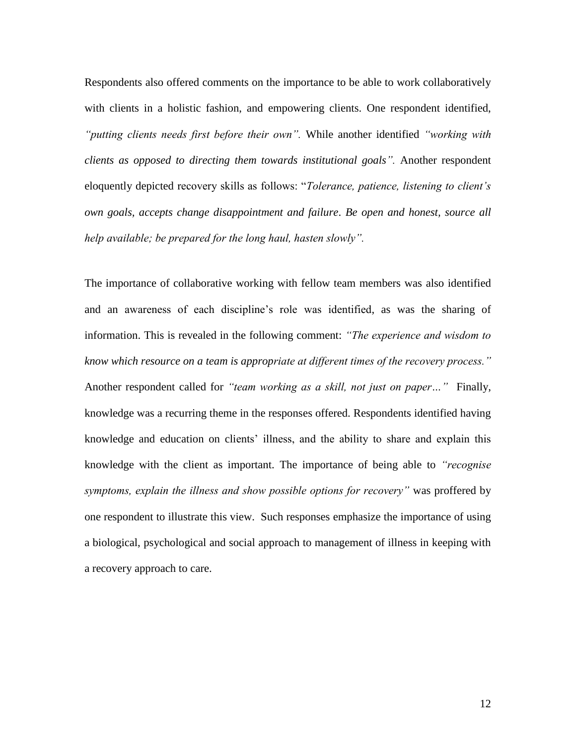Respondents also offered comments on the importance to be able to work collaboratively with clients in a holistic fashion, and empowering clients. One respondent identified, *"putting clients needs first before their own".* While another identified *"working with clients as opposed to directing them towards institutional goals".* Another respondent eloquently depicted recovery skills as follows: "*Tolerance, patience, listening to client's own goals, accepts change disappointment and failure*. *Be open and honest, source all help available; be prepared for the long haul, hasten slowly".*

The importance of collaborative working with fellow team members was also identified and an awareness of each discipline's role was identified, as was the sharing of information. This is revealed in the following comment: *"The experience and wisdom to know which resource on a team is appropriate at different times of the recovery process."* Another respondent called for *"team working as a skill, not just on paper…"* Finally, knowledge was a recurring theme in the responses offered. Respondents identified having knowledge and education on clients' illness, and the ability to share and explain this knowledge with the client as important. The importance of being able to *"recognise symptoms, explain the illness and show possible options for recovery"* was proffered by one respondent to illustrate this view. Such responses emphasize the importance of using a biological, psychological and social approach to management of illness in keeping with a recovery approach to care.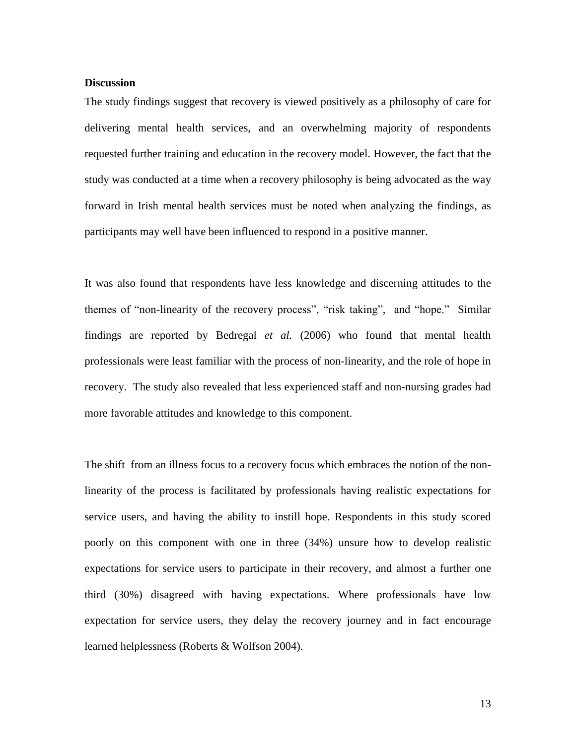## **Discussion**

The study findings suggest that recovery is viewed positively as a philosophy of care for delivering mental health services, and an overwhelming majority of respondents requested further training and education in the recovery model. However, the fact that the study was conducted at a time when a recovery philosophy is being advocated as the way forward in Irish mental health services must be noted when analyzing the findings, as participants may well have been influenced to respond in a positive manner.

It was also found that respondents have less knowledge and discerning attitudes to the themes of "non-linearity of the recovery process", "risk taking", and "hope." Similar findings are reported by Bedregal *et al.* (2006) who found that mental health professionals were least familiar with the process of non-linearity, and the role of hope in recovery. The study also revealed that less experienced staff and non-nursing grades had more favorable attitudes and knowledge to this component.

The shift from an illness focus to a recovery focus which embraces the notion of the nonlinearity of the process is facilitated by professionals having realistic expectations for service users, and having the ability to instill hope. Respondents in this study scored poorly on this component with one in three (34%) unsure how to develop realistic expectations for service users to participate in their recovery, and almost a further one third (30%) disagreed with having expectations. Where professionals have low expectation for service users, they delay the recovery journey and in fact encourage learned helplessness (Roberts & Wolfson 2004).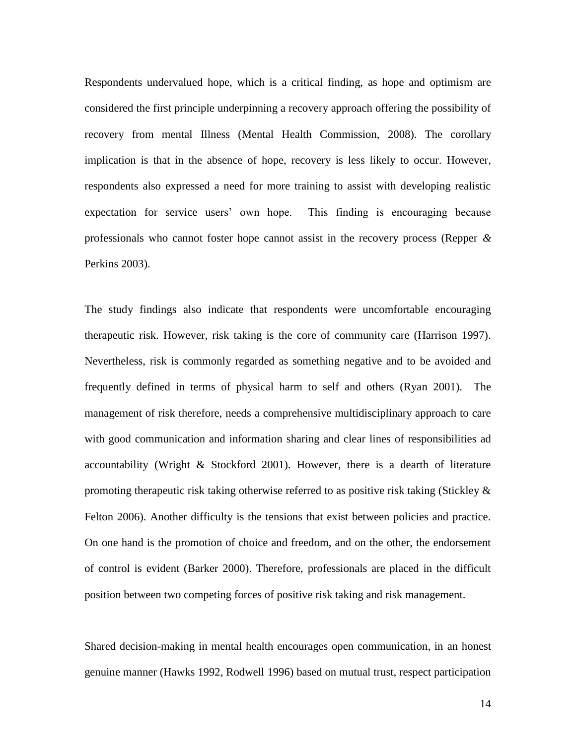Respondents undervalued hope, which is a critical finding, as hope and optimism are considered the first principle underpinning a recovery approach offering the possibility of recovery from mental Illness (Mental Health Commission, 2008). The corollary implication is that in the absence of hope, recovery is less likely to occur. However, respondents also expressed a need for more training to assist with developing realistic expectation for service users' own hope. This finding is encouraging because professionals who cannot foster hope cannot assist in the recovery process (Repper *&* Perkins 2003).

The study findings also indicate that respondents were uncomfortable encouraging therapeutic risk. However, risk taking is the core of community care (Harrison 1997). Nevertheless, risk is commonly regarded as something negative and to be avoided and frequently defined in terms of physical harm to self and others (Ryan 2001). The management of risk therefore, needs a comprehensive multidisciplinary approach to care with good communication and information sharing and clear lines of responsibilities ad accountability (Wright & Stockford 2001). However, there is a dearth of literature promoting therapeutic risk taking otherwise referred to as positive risk taking (Stickley & Felton 2006). Another difficulty is the tensions that exist between policies and practice. On one hand is the promotion of choice and freedom, and on the other, the endorsement of control is evident (Barker 2000). Therefore, professionals are placed in the difficult position between two competing forces of positive risk taking and risk management.

Shared decision-making in mental health encourages open communication, in an honest genuine manner (Hawks 1992, Rodwell 1996) based on mutual trust, respect participation

14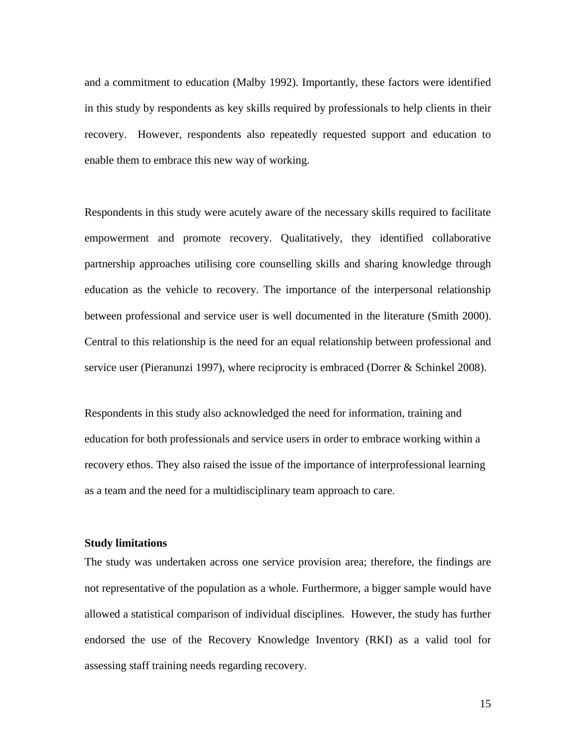and a commitment to education (Malby 1992). Importantly, these factors were identified in this study by respondents as key skills required by professionals to help clients in their recovery. However, respondents also repeatedly requested support and education to enable them to embrace this new way of working.

Respondents in this study were acutely aware of the necessary skills required to facilitate empowerment and promote recovery. Qualitatively, they identified collaborative partnership approaches utilising core counselling skills and sharing knowledge through education as the vehicle to recovery. The importance of the interpersonal relationship between professional and service user is well documented in the literature (Smith 2000). Central to this relationship is the need for an equal relationship between professional and service user (Pieranunzi 1997), where reciprocity is embraced (Dorrer & Schinkel 2008).

Respondents in this study also acknowledged the need for information, training and education for both professionals and service users in order to embrace working within a recovery ethos. They also raised the issue of the importance of interprofessional learning as a team and the need for a multidisciplinary team approach to care.

### **Study limitations**

The study was undertaken across one service provision area; therefore, the findings are not representative of the population as a whole. Furthermore, a bigger sample would have allowed a statistical comparison of individual disciplines. However, the study has further endorsed the use of the Recovery Knowledge Inventory (RKI) as a valid tool for assessing staff training needs regarding recovery.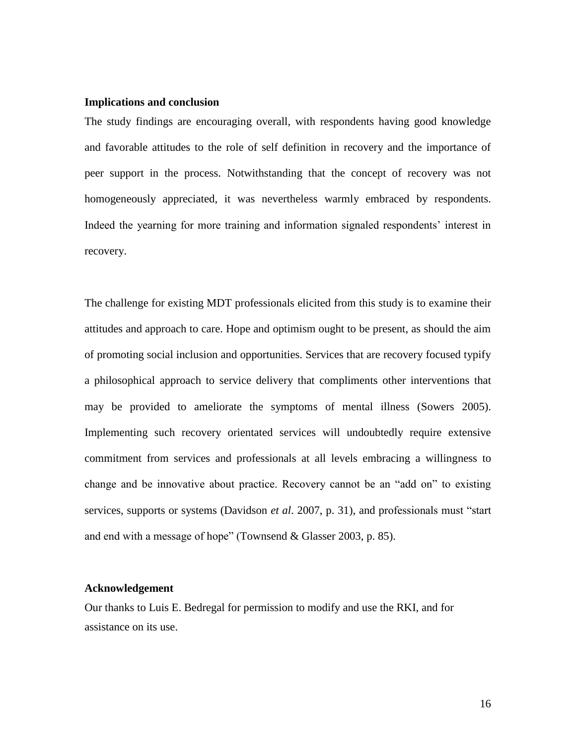#### **Implications and conclusion**

The study findings are encouraging overall, with respondents having good knowledge and favorable attitudes to the role of self definition in recovery and the importance of peer support in the process. Notwithstanding that the concept of recovery was not homogeneously appreciated, it was nevertheless warmly embraced by respondents. Indeed the yearning for more training and information signaled respondents' interest in recovery.

The challenge for existing MDT professionals elicited from this study is to examine their attitudes and approach to care. Hope and optimism ought to be present, as should the aim of promoting social inclusion and opportunities. Services that are recovery focused typify a philosophical approach to service delivery that compliments other interventions that may be provided to ameliorate the symptoms of mental illness (Sowers 2005). Implementing such recovery orientated services will undoubtedly require extensive commitment from services and professionals at all levels embracing a willingness to change and be innovative about practice. Recovery cannot be an "add on" to existing services, supports or systems (Davidson *et al*. 2007, p. 31), and professionals must "start and end with a message of hope" (Townsend & Glasser 2003, p. 85).

### **Acknowledgement**

Our thanks to Luis E. Bedregal for permission to modify and use the RKI, and for assistance on its use.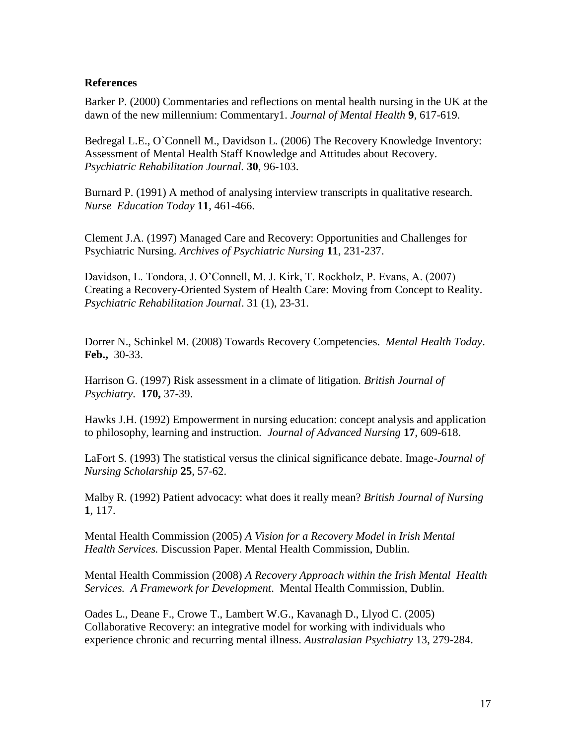# **References**

Barker P. (2000) Commentaries and reflections on mental health nursing in the UK at the dawn of the new millennium: Commentary1. *Journal of Mental Health* **9**, 617-619.

Bedregal L.E., O`Connell M., Davidson L. (2006) The Recovery Knowledge Inventory: Assessment of Mental Health Staff Knowledge and Attitudes about Recovery. *Psychiatric Rehabilitation Journal.* **30**, 96-103.

Burnard P. (1991) A method of analysing interview transcripts in qualitative research. *Nurse Education Today* **11**, 461-466.

Clement J.A. (1997) Managed Care and Recovery: Opportunities and Challenges for Psychiatric Nursing. *Archives of Psychiatric Nursing* **11**, 231-237.

Davidson, L. Tondora, J. O'Connell, M. J. Kirk, T. Rockholz, P. Evans, A. (2007) Creating a Recovery-Oriented System of Health Care: Moving from Concept to Reality. *Psychiatric Rehabilitation Journal*. 31 (1), 23-31.

Dorrer N., Schinkel M. (2008) Towards Recovery Competencies. *Mental Health Today*. **Feb.,** 30-33.

Harrison G. (1997) Risk assessment in a climate of litigation*. British Journal of Psychiatry*. **170,** 37-39.

Hawks J.H. (1992) Empowerment in nursing education: concept analysis and application to philosophy, learning and instruction*. Journal of Advanced Nursing* **17**, 609-618.

LaFort S. (1993) The statistical versus the clinical significance debate. Image-*Journal of Nursing Scholarship* **25**, 57-62.

Malby R. (1992) Patient advocacy: what does it really mean? *British Journal of Nursing* **1**, 117.

Mental Health Commission (2005) *A Vision for a Recovery Model in Irish Mental Health Services.* Discussion Paper. Mental Health Commission, Dublin.

Mental Health Commission (2008) *A Recovery Approach within the Irish Mental Health Services. A Framework for Development*. Mental Health Commission, Dublin.

Oades L., Deane F., Crowe T., Lambert W.G., Kavanagh D., Llyod C. (2005) Collaborative Recovery: an integrative model for working with individuals who experience chronic and recurring mental illness. *Australasian Psychiatry* 13, 279-284.